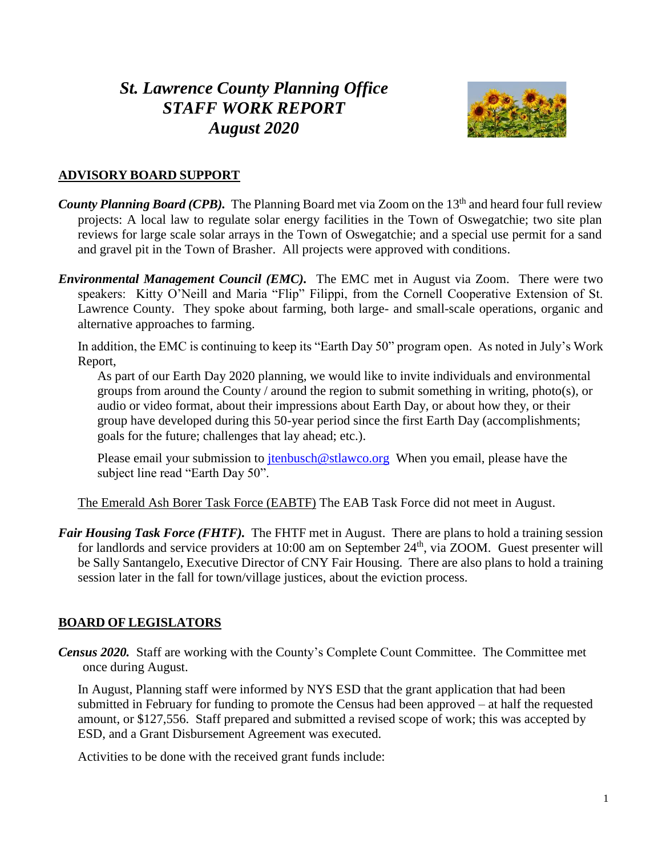# *St. Lawrence County Planning Office STAFF WORK REPORT August 2020*



## **ADVISORY BOARD SUPPORT**

- *County Planning Board (CPB).* The Planning Board met via Zoom on the 13<sup>th</sup> and heard four full review projects: A local law to regulate solar energy facilities in the Town of Oswegatchie; two site plan reviews for large scale solar arrays in the Town of Oswegatchie; and a special use permit for a sand and gravel pit in the Town of Brasher. All projects were approved with conditions.
- *Environmental Management Council (EMC).* The EMC met in August via Zoom. There were two speakers: Kitty O'Neill and Maria "Flip" Filippi, from the Cornell Cooperative Extension of St. Lawrence County. They spoke about farming, both large- and small-scale operations, organic and alternative approaches to farming.

In addition, the EMC is continuing to keep its "Earth Day 50" program open. As noted in July's Work Report,

As part of our Earth Day 2020 planning, we would like to invite individuals and environmental groups from around the County / around the region to submit something in writing, photo(s), or audio or video format, about their impressions about Earth Day, or about how they, or their group have developed during this 50-year period since the first Earth Day (accomplishments; goals for the future; challenges that lay ahead; etc.).

Please email your submission to  $\frac{\text{tenbusch@stlawco.org}}{\text{tenbusch@stlawco.org}}$  When you email, please have the subject line read "Earth Day 50".

The Emerald Ash Borer Task Force (EABTF) The EAB Task Force did not meet in August.

*Fair Housing Task Force (FHTF)*. The FHTF met in August. There are plans to hold a training session for landlords and service providers at 10:00 am on September 24<sup>th</sup>, via ZOOM. Guest presenter will be Sally Santangelo, Executive Director of CNY Fair Housing. There are also plans to hold a training session later in the fall for town/village justices, about the eviction process.

# **BOARD OF LEGISLATORS**

*Census 2020.* Staff are working with the County's Complete Count Committee. The Committee met once during August.

In August, Planning staff were informed by NYS ESD that the grant application that had been submitted in February for funding to promote the Census had been approved – at half the requested amount, or \$127,556. Staff prepared and submitted a revised scope of work; this was accepted by ESD, and a Grant Disbursement Agreement was executed.

Activities to be done with the received grant funds include: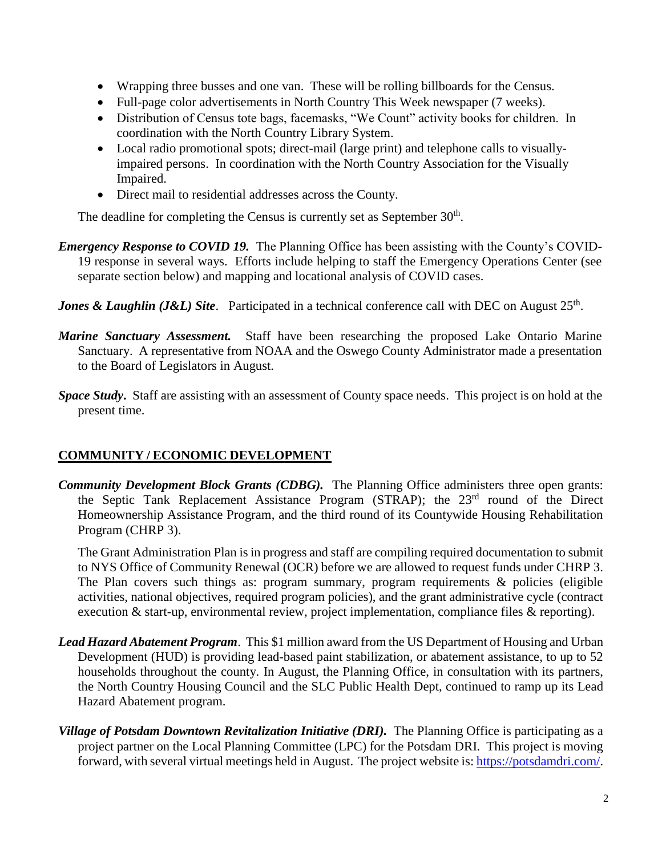- Wrapping three busses and one van. These will be rolling billboards for the Census.
- Full-page color advertisements in North Country This Week newspaper (7 weeks).
- Distribution of Census tote bags, facemasks, "We Count" activity books for children. In coordination with the North Country Library System.
- Local radio promotional spots; direct-mail (large print) and telephone calls to visuallyimpaired persons. In coordination with the North Country Association for the Visually Impaired.
- Direct mail to residential addresses across the County.

The deadline for completing the Census is currently set as September  $30<sup>th</sup>$ .

- *Emergency Response to COVID 19.* The Planning Office has been assisting with the County's COVID-19 response in several ways. Efforts include helping to staff the Emergency Operations Center (see separate section below) and mapping and locational analysis of COVID cases.
- *Jones & Laughlin (J&L) Site.* Participated in a technical conference call with DEC on August 25<sup>th</sup>.
- *Marine Sanctuary Assessment.* Staff have been researching the proposed Lake Ontario Marine Sanctuary. A representative from NOAA and the Oswego County Administrator made a presentation to the Board of Legislators in August.
- *Space Study***.** Staff are assisting with an assessment of County space needs. This project is on hold at the present time.

# **COMMUNITY / ECONOMIC DEVELOPMENT**

*Community Development Block Grants (CDBG).* The Planning Office administers three open grants: the Septic Tank Replacement Assistance Program (STRAP); the 23rd round of the Direct Homeownership Assistance Program, and the third round of its Countywide Housing Rehabilitation Program (CHRP 3).

The Grant Administration Plan is in progress and staff are compiling required documentation to submit to NYS Office of Community Renewal (OCR) before we are allowed to request funds under CHRP 3. The Plan covers such things as: program summary, program requirements & policies (eligible activities, national objectives, required program policies), and the grant administrative cycle (contract execution & start-up, environmental review, project implementation, compliance files & reporting).

- *Lead Hazard Abatement Program*. This \$1 million award from the US Department of Housing and Urban Development (HUD) is providing lead-based paint stabilization, or abatement assistance, to up to 52 households throughout the county. In August, the Planning Office, in consultation with its partners, the North Country Housing Council and the SLC Public Health Dept, continued to ramp up its Lead Hazard Abatement program.
- *Village of Potsdam Downtown Revitalization Initiative (DRI).* The Planning Office is participating as a project partner on the Local Planning Committee (LPC) for the Potsdam DRI. This project is moving forward, with several virtual meetings held in August. The project website is[: https://potsdamdri.com/.](https://potsdamdri.com/)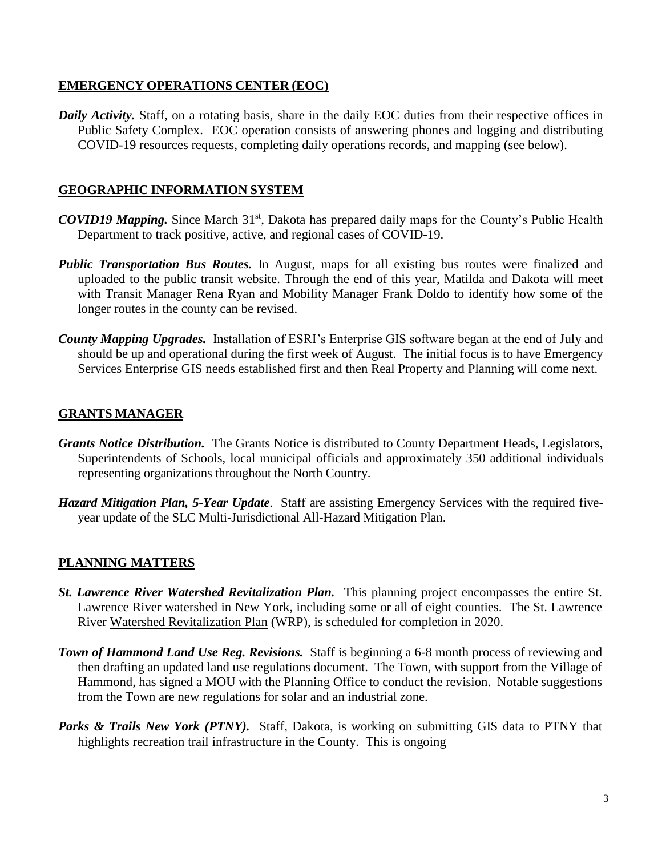#### **EMERGENCY OPERATIONS CENTER (EOC)**

*Daily Activity.* Staff, on a rotating basis, share in the daily EOC duties from their respective offices in Public Safety Complex. EOC operation consists of answering phones and logging and distributing COVID-19 resources requests, completing daily operations records, and mapping (see below).

### **GEOGRAPHIC INFORMATION SYSTEM**

- *COVID19 Mapping.* Since March 31<sup>st</sup>, Dakota has prepared daily maps for the County's Public Health Department to track positive, active, and regional cases of COVID-19.
- *Public Transportation Bus Routes.* In August, maps for all existing bus routes were finalized and uploaded to the public transit website. Through the end of this year, Matilda and Dakota will meet with Transit Manager Rena Ryan and Mobility Manager Frank Doldo to identify how some of the longer routes in the county can be revised.
- *County Mapping Upgrades.* Installation of ESRI's Enterprise GIS software began at the end of July and should be up and operational during the first week of August. The initial focus is to have Emergency Services Enterprise GIS needs established first and then Real Property and Planning will come next.

## **GRANTS MANAGER**

- *Grants Notice Distribution.* The Grants Notice is distributed to County Department Heads, Legislators, Superintendents of Schools, local municipal officials and approximately 350 additional individuals representing organizations throughout the North Country.
- *Hazard Mitigation Plan, 5-Year Update*. Staff are assisting Emergency Services with the required fiveyear update of the SLC Multi-Jurisdictional All-Hazard Mitigation Plan.

#### **PLANNING MATTERS**

- *St. Lawrence River Watershed Revitalization Plan.* This planning project encompasses the entire St. Lawrence River watershed in New York, including some or all of eight counties. The St. Lawrence River Watershed Revitalization Plan (WRP), is scheduled for completion in 2020.
- *Town of Hammond Land Use Reg. Revisions.* Staff is beginning a 6-8 month process of reviewing and then drafting an updated land use regulations document. The Town, with support from the Village of Hammond, has signed a MOU with the Planning Office to conduct the revision. Notable suggestions from the Town are new regulations for solar and an industrial zone.
- *Parks & Trails New York (PTNY).* Staff, Dakota, is working on submitting GIS data to PTNY that highlights recreation trail infrastructure in the County. This is ongoing